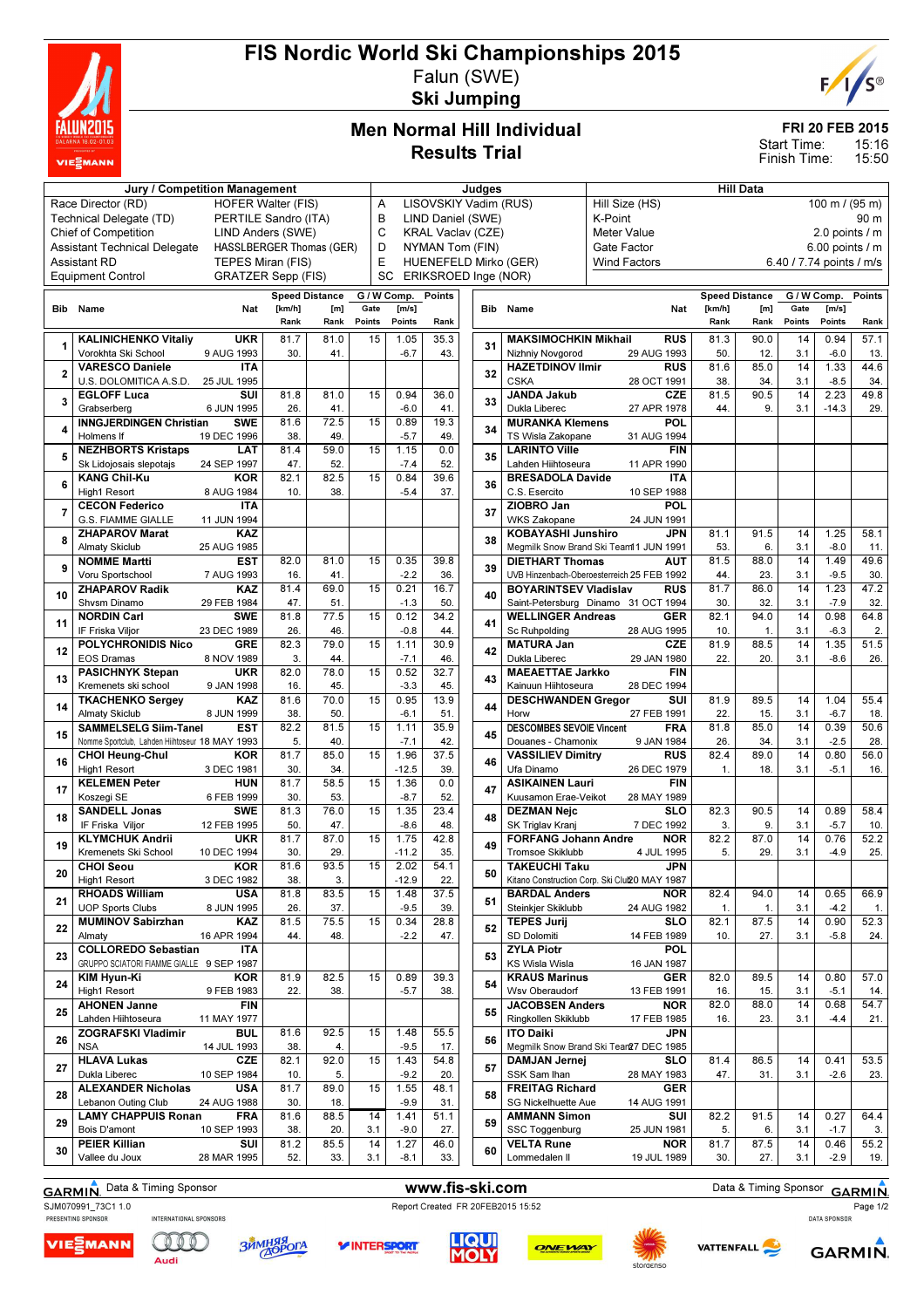

# FIS Nordic World Ski Championships 2015 Falun (SWE)

Ski Jumping



# Men Normal Hill Individual Results Trial

### FRI 20 FEB 2015

15:16 15:50 Start Time: Finish Time:

|                | Jury / Competition Management                  |            |                           |                          |               |             |                          | Judges |                                 |                                               |                | <b>Hill Data</b>      |                          |                                  |        |
|----------------|------------------------------------------------|------------|---------------------------|--------------------------|---------------|-------------|--------------------------|--------|---------------------------------|-----------------------------------------------|----------------|-----------------------|--------------------------|----------------------------------|--------|
|                | Race Director (RD)                             |            | <b>HOFER Walter (FIS)</b> |                          | Α             |             | LISOVSKIY Vadim (RUS)    |        |                                 | Hill Size (HS)                                |                |                       |                          | $100 \text{ m} / (95 \text{ m})$ |        |
|                |                                                |            |                           |                          |               |             |                          |        |                                 |                                               |                |                       |                          |                                  |        |
|                | Technical Delegate (TD)                        |            | PERTILE Sandro (ITA)      |                          | B             |             | LIND Daniel (SWE)        |        |                                 | K-Point                                       |                |                       |                          |                                  | 90 m   |
|                | Chief of Competition                           |            | LIND Anders (SWE)         |                          | C             |             | <b>KRAL Vaclav (CZE)</b> |        |                                 | <b>Meter Value</b>                            |                |                       |                          | 2.0 points $/$ m                 |        |
|                | <b>Assistant Technical Delegate</b>            |            |                           | HASSLBERGER Thomas (GER) | D             |             | NYMAN Tom (FIN)          |        |                                 | Gate Factor                                   |                |                       |                          | 6.00 points / m                  |        |
|                | <b>Assistant RD</b>                            |            | TEPES Miran (FIS)         |                          | Е             |             | HUENEFELD Mirko (GER)    |        |                                 | <b>Wind Factors</b>                           |                |                       | 6.40 / 7.74 points / m/s |                                  |        |
|                | <b>Equipment Control</b>                       |            | <b>GRATZER Sepp (FIS)</b> |                          |               | SC          | ERIKSROED Inge (NOR)     |        |                                 |                                               |                |                       |                          |                                  |        |
|                |                                                |            |                           |                          |               |             |                          |        |                                 |                                               |                |                       |                          |                                  |        |
|                |                                                |            |                           | <b>Speed Distance</b>    |               | G / W Comp. | <b>Points</b>            |        |                                 |                                               |                | <b>Speed Distance</b> | G / W Comp.              |                                  | Points |
|                | <b>Bib</b> Name                                | Nat        | [km/h]                    | [m]                      | Gate          | [m/s]       |                          |        | <b>Bib</b> Name                 | Nat                                           | [km/h]         | [m]                   | Gate                     | [m/s]                            |        |
|                |                                                |            | Rank                      | Rank                     | <b>Points</b> | Points      | Rank                     |        |                                 |                                               | Rank           | Rank                  | Points                   | Points                           | Rank   |
|                | <b>KALINICHENKO Vitaliy</b>                    | <b>UKR</b> | 81.7                      | 81.0                     | 15            | 1.05        | 35.3                     |        | <b>MAKSIMOCHKIN Mikhail</b>     | <b>RUS</b>                                    | 81.3           | 90.0                  | 14                       | 0.94                             | 57.1   |
| $\mathbf{1}$   | Vorokhta Ski School<br>9 AUG 1993              |            | 30.                       | 41.                      |               | $-6.7$      | 43.                      | 31     | Nizhniy Novgorod                | 29 AUG 1993                                   | 50.            | 12.                   | 3.1                      | $-6.0$                           | 13.    |
|                | <b>VARESCO Daniele</b>                         | <b>ITA</b> |                           |                          |               |             |                          |        | <b>HAZETDINOV Ilmir</b>         | <b>RUS</b>                                    | 81.6           | 85.0                  | 14                       | 1.33                             | 44.6   |
| $\overline{2}$ | U.S. DOLOMITICA A.S.D.<br>25 JUL 1995          |            |                           |                          |               |             |                          | 32     | <b>CSKA</b>                     | 28 OCT 1991                                   | 38.            | 34.                   | 3.1                      | $-8.5$                           | 34.    |
|                | <b>EGLOFF Luca</b>                             | SUI        | 81.8                      | 81.0                     | 15            | 0.94        | 36.0                     |        | <b>JANDA Jakub</b>              | <b>CZE</b>                                    | 81.5           | 90.5                  | 14                       | 2.23                             | 49.8   |
| 3              | Grabserberg                                    | 6 JUN 1995 | 26.                       | 41.                      |               | $-6.0$      | 41.                      | 33     | Dukla Liberec                   | 27 APR 1978                                   | 44.            | 9.                    | 3.1                      | $-14.3$                          | 29.    |
|                | <b>INNGJERDINGEN Christian</b>                 | <b>SWE</b> | 81.6                      | 72.5                     | 15            | 0.89        | 19.3                     |        | <b>MURANKA Klemens</b>          | POL                                           |                |                       |                          |                                  |        |
| 4              |                                                |            |                           |                          |               |             |                          | 34     |                                 |                                               |                |                       |                          |                                  |        |
|                | Holmens If<br>19 DEC 1996                      |            | 38.                       | 49.                      |               | $-5.7$      | 49.                      |        | TS Wisla Zakopane               | 31 AUG 1994                                   |                |                       |                          |                                  |        |
| 5              | <b>NEZHBORTS Kristaps</b>                      | LAT        | 81.4                      | 59.0                     | 15            | 1.15        | 0.0                      | 35     | <b>LARINTO Ville</b>            | <b>FIN</b>                                    |                |                       |                          |                                  |        |
|                | Sk Lidojosais slepotajs<br>24 SEP 1997         |            | 47.                       | 52.                      |               | $-7.4$      | 52.                      |        | Lahden Hiihtoseura              | 11 APR 1990                                   |                |                       |                          |                                  |        |
| 6              | <b>KANG Chil-Ku</b>                            | <b>KOR</b> | 82.1                      | 82.5                     | 15            | 0.84        | 39.6                     | 36     | <b>BRESADOLA Davide</b>         | <b>ITA</b>                                    |                |                       |                          |                                  |        |
|                | <b>High1 Resort</b><br>8 AUG 1984              |            | 10.                       | 38.                      |               | $-5.4$      | 37.                      |        | C.S. Esercito                   | 10 SEP 1988                                   |                |                       |                          |                                  |        |
| $\overline{7}$ | <b>CECON Federico</b>                          | <b>ITA</b> |                           |                          |               |             |                          | 37     | ZIOBRO Jan                      | POL                                           |                |                       |                          |                                  |        |
|                | G.S. FIAMME GIALLE<br>11 JUN 1994              |            |                           |                          |               |             |                          |        | <b>WKS Zakopane</b>             | 24 JUN 1991                                   |                |                       |                          |                                  |        |
|                | <b>ZHAPAROV Marat</b>                          | <b>KAZ</b> |                           |                          |               |             |                          |        | <b>KOBAYASHI Junshiro</b>       | <b>JPN</b>                                    | 81.1           | 91.5                  | 14                       | 1.25                             | 58.1   |
| 8              | <b>Almaty Skiclub</b><br>25 AUG 1985           |            |                           |                          |               |             |                          | 38     |                                 | Megmilk Snow Brand Ski Team11 JUN 1991        | 53.            | 6.                    | 3.1                      | $-8.0$                           | 11.    |
|                | <b>NOMME Martti</b>                            | <b>EST</b> | 82.0                      | 81.0                     | 15            | 0.35        | 39.8                     |        | <b>DIETHART Thomas</b>          | AUT                                           | 81.5           | 88.0                  | 14                       | 1.49                             | 49.6   |
| 9              | Voru Sportschool<br>7 AUG 1993                 |            | 16.                       | 41.                      |               | $-2.2$      | 36.                      | 39     |                                 | UVB Hinzenbach-Oberoesterreich 25 FEB 1992    | 44.            | 23.                   | 3.1                      | $-9.5$                           | 30.    |
|                | <b>ZHAPAROV Radik</b>                          | KAZ        | 81.4                      | 69.0                     | 15            | 0.21        | 16.7                     |        | <b>BOYARINTSEV Vladislav</b>    | <b>RUS</b>                                    | 81.7           | 86.0                  | 14                       | 1.23                             | 47.2   |
| 10             |                                                |            |                           |                          |               |             |                          | 40     |                                 |                                               |                |                       |                          |                                  |        |
|                | Shysm Dinamo<br>29 FEB 1984                    |            | 47.                       | 51.                      |               | $-1.3$      | 50.                      |        |                                 | Saint-Petersburg Dinamo 31 OCT 1994           | 30.            | 32.                   | 3.1                      | $-7.9$                           | 32.    |
| 11             | <b>NORDIN Carl</b>                             | <b>SWE</b> | 81.8                      | 77.5                     | 15            | 0.12        | 34.2                     | 41     | <b>WELLINGER Andreas</b>        | <b>GER</b>                                    | 82.1           | 94.0                  | 14                       | 0.98                             | 64.8   |
|                | IF Friska Viljor<br>23 DEC 1989                |            | 26.                       | 46.                      |               | $-0.8$      | 44.                      |        | Sc Ruhpolding                   | 28 AUG 1995                                   | 10.            | $\mathbf{1}$ .        | 3.1                      | $-6.3$                           | 2.     |
| 12             | <b>POLYCHRONIDIS Nico</b>                      | <b>GRE</b> | 82.3                      | 79.0                     | 15            | 1.11        | 30.9                     | 42     | <b>MATURA Jan</b>               | <b>CZE</b>                                    | 81.9           | 88.5                  | 14                       | 1.35                             | 51.5   |
|                | <b>EOS Dramas</b><br>8 NOV 1989                |            | 3.                        | 44.                      |               | $-7.1$      | 46.                      |        | Dukla Liberec                   | 29 JAN 1980                                   | 22.            | 20.                   | 3.1                      | $-8.6$                           | 26.    |
|                | <b>PASICHNYK Stepan</b>                        | <b>UKR</b> | 82.0                      | 78.0                     | 15            | 0.52        | 32.7                     |        | <b>MAEAETTAE Jarkko</b>         | <b>FIN</b>                                    |                |                       |                          |                                  |        |
| 13             | Kremenets ski school                           | 9 JAN 1998 | 16.                       | 45.                      |               | $-3.3$      | 45.                      | 43     | Kainuun Hiihtoseura             | 28 DEC 1994                                   |                |                       |                          |                                  |        |
|                | <b>TKACHENKO Sergey</b>                        | <b>KAZ</b> | 81.6                      | 70.0                     | 15            | 0.95        | 13.9                     |        | <b>DESCHWANDEN Gregor</b>       | SUI                                           | 81.9           | 89.5                  | 14                       | 1.04                             | 55.4   |
| 14             | <b>Almaty Skiclub</b>                          | 8 JUN 1999 | 38.                       | 50.                      |               | $-6.1$      | 51.                      | 44     | Horw                            | 27 FEB 1991                                   | 22.            | 15.                   | 3.1                      | $-6.7$                           | 18.    |
|                | <b>SAMMELSELG Siim-Tanel</b>                   | <b>EST</b> | 82.2                      | 81.5                     | 15            | 1.11        | 35.9                     |        | <b>DESCOMBES SEVOIE Vincent</b> | <b>FRA</b>                                    | 81.8           | 85.0                  | 14                       | 0.39                             | 50.6   |
| 15             | Nomme Sportclub, Lahden Hiihtoseur 18 MAY 1993 |            | 5.                        | 40.                      |               | $-7.1$      | 42.                      | 45     | Douanes - Chamonix              | 9 JAN 1984                                    | 26.            | 34.                   | 3.1                      | $-2.5$                           | 28.    |
|                |                                                | <b>KOR</b> | 81.7                      | 85.0                     | 15            | 1.96        | 37.5                     |        | <b>VASSILIEV Dimitry</b>        | <b>RUS</b>                                    | 82.4           | 89.0                  | 14                       | 0.80                             | 56.0   |
| 16             | <b>CHOI Heung-Chul</b>                         |            |                           |                          |               |             |                          | 46     | Ufa Dinamo                      |                                               |                |                       |                          |                                  |        |
|                | <b>High1 Resort</b><br>3 DEC 1981              |            | 30.                       | 34.                      |               | $-12.5$     | 39.                      |        |                                 | 26 DEC 1979                                   | $\mathbf{1}$ . | 18.                   | 3.1                      | $-5.1$                           | 16.    |
| 17             | <b>KELEMEN Peter</b>                           | <b>HUN</b> | 81.7                      | 58.5                     | 15            | 1.36        | 0.0                      | 47     | <b>ASIKAINEN Lauri</b>          | FIN                                           |                |                       |                          |                                  |        |
|                | Koszegi SE                                     | 6 FEB 1999 | 30.                       | 53.                      |               | $-8.7$      | 52.                      |        | Kuusamon Erae-Veikot            | 28 MAY 1989                                   |                |                       |                          |                                  |        |
| 18             | <b>SANDELL Jonas</b>                           | <b>SWE</b> | 81.3                      | 76.0                     | 15            | 1.35        | 23.4                     | 48     | <b>DEZMAN Nejc</b>              | <b>SLO</b>                                    | 82.3           | 90.5                  | 14                       | 0.89                             | 58.4   |
|                | IF Friska Vilior<br>12 FEB 1995                |            | 50.                       | 47.                      |               | $-8.6$      | 48.                      |        | SK Triglav Kranj                | 7 DEC 1992                                    | 3.             | 9.                    | 3.1                      | $-5.7$                           | 10.    |
| 19             | <b>KLYMCHUK Andrii</b>                         | <b>UKR</b> | 81.7                      | 87.0                     | 15            | 1.75        | 42.8                     | 49     | <b>FORFANG Johann Andre</b>     | <b>NOR</b>                                    | 82.2           | 87.0                  | 14                       | 0.76                             | 52.2   |
|                | Kremenets Ski School<br>10 DEC 1994            |            | 30.                       | 29.                      |               | $-11.2$     | 35.                      |        | <b>Tromsoe Skiklubb</b>         | 4 JUL 1995                                    | 5.             | 29.                   | 3.1                      | $-4.9$                           | 25.    |
|                | <b>CHOI Seou</b>                               | KOR        | 81.6                      | 93.5                     | 15            | 2.02        | 54.1                     |        | <b>TAKEUCHI Taku</b>            | <b>JPN</b>                                    |                |                       |                          |                                  |        |
| 20             | High1 Resort                                   | 3 DEC 1982 | 38.                       | 3.                       |               | $-12.9$     | 22.                      | 50     |                                 | Kitano Construction Corp. Ski Clul20 MAY 1987 |                |                       |                          |                                  |        |
|                | <b>RHOADS William</b>                          | <b>USA</b> | 81.8                      | 83.5                     | 15            | 1.48        | 37.5                     |        | <b>BARDAL Anders</b>            | <b>NOR</b>                                    | 82.4           | 94.0                  | 14                       | 0.65                             | 66.9   |
| 21             | <b>UOP Sports Clubs</b>                        | 8 JUN 1995 | 26.                       | 37.                      |               | $-9.5$      | 39.                      | 51     | Steinkjer Skiklubb              | 24 AUG 1982                                   | 1.             | 1.                    | 3.1                      | $-4.2$                           | 1.     |
|                | <b>MUMINOV Sabirzhan</b>                       | KAZ        | 81.5                      | 75.5                     | 15            | 0.34        | 28.8                     |        | <b>TEPES Jurij</b>              | <b>SLO</b>                                    | 82.1           | 87.5                  | 14                       | 0.90                             | 52.3   |
| 22             | Almaty<br>16 APR 1994                          |            | 44.                       | 48.                      |               |             | 47.                      | 52     | SD Dolomiti                     | 14 FEB 1989                                   |                | 27.                   | 3.1                      | $-5.8$                           |        |
|                |                                                |            |                           |                          |               | $-2.2$      |                          |        |                                 |                                               | 10.            |                       |                          |                                  | 24.    |
| 23             | <b>COLLOREDO Sebastian</b>                     | IΤΑ        |                           |                          |               |             |                          | 53     | <b>ZYLA Piotr</b>               | POL                                           |                |                       |                          |                                  |        |
|                | GRUPPO SCIATORI FIAMME GIALLE 9 SEP 1987       |            |                           |                          |               |             |                          |        | <b>KS Wisla Wisla</b>           | 16 JAN 1987                                   |                |                       |                          |                                  |        |
| 24             | KIM Hyun-Ki                                    | <b>KOR</b> | 81.9                      | 82.5                     | 15            | 0.89        | 39.3                     | 54     | <b>KRAUS Marinus</b>            | <b>GER</b>                                    | 82.0           | 89.5                  | 14                       | 0.80                             | 57.0   |
|                | High1 Resort                                   | 9 FEB 1983 | 22.                       | 38.                      |               | $-5.7$      | 38.                      |        | Wsv Oberaudorf                  | 13 FEB 1991                                   | 16.            | 15.                   | 3.1                      | $-5.1$                           | 14.    |
| 25             | <b>AHONEN Janne</b>                            | <b>FIN</b> |                           |                          |               |             |                          | 55     | <b>JACOBSEN Anders</b>          | <b>NOR</b>                                    | 82.0           | 88.0                  | 14                       | 0.68                             | 54.7   |
|                | Lahden Hiihtoseura<br>11 MAY 1977              |            |                           |                          |               |             |                          |        | Ringkollen Skiklubb             | 17 FEB 1985                                   | 16.            | 23.                   | 3.1                      | $-4.4$                           | 21.    |
|                | <b>ZOGRAFSKI Vladimir</b>                      | <b>BUL</b> | 81.6                      | 92.5                     | 15            | 1.48        | 55.5                     |        | <b>ITO Daiki</b>                | <b>JPN</b>                                    |                |                       |                          |                                  |        |
| 26             | <b>NSA</b><br>14 JUL 1993                      |            | 38.                       | 4.                       |               | $-9.5$      | 17.                      | 56     |                                 | Megmilk Snow Brand Ski Tear27 DEC 1985        |                |                       |                          |                                  |        |
|                | <b>HLAVA Lukas</b>                             | CZE        | 82.1                      | 92.0                     | 15            | 1.43        | 54.8                     |        | <b>DAMJAN Jernei</b>            | SLO                                           | 81.4           | 86.5                  | 14                       | 0.41                             | 53.5   |
| 27             | Dukla Liberec<br>10 SEP 1984                   |            | 10.                       | 5.                       |               | $-9.2$      | 20.                      | 57     | SSK Sam Ihan                    | 28 MAY 1983                                   | 47.            | 31.                   | 3.1                      | $-2.6$                           | 23.    |
|                | <b>ALEXANDER Nicholas</b>                      | <b>USA</b> | 81.7                      | 89.0                     | 15            | 1.55        | 48.1                     |        | <b>FREITAG Richard</b>          | <b>GER</b>                                    |                |                       |                          |                                  |        |
| 28             | Lebanon Outing Club<br>24 AUG 1988             |            | 30.                       | 18.                      |               | $-9.9$      | 31.                      | 58     | <b>SG Nickelhuette Aue</b>      | 14 AUG 1991                                   |                |                       |                          |                                  |        |
|                | <b>LAMY CHAPPUIS Ronan</b>                     | FRA        | 81.6                      | 88.5                     | 14            | 1.41        | 51.1                     |        | <b>AMMANN Simon</b>             | SUI                                           | 82.2           | 91.5                  | 14                       | 0.27                             | 64.4   |
| 29             | Bois D'amont<br>10 SEP 1993                    |            | 38.                       | 20.                      | 3.1           | $-9.0$      | 27.                      | 59     | SSC Toggenburg                  | 25 JUN 1981                                   | 5.             | 6.                    | 3.1                      | $-1.7$                           | 3.     |
|                |                                                |            |                           |                          |               |             |                          |        |                                 |                                               |                |                       |                          |                                  |        |
| 30             | <b>PEIER Killian</b>                           | SUI        | 81.2                      | 85.5                     | 14            | 1.27        | 46.0                     | 60     | <b>VELTA Rune</b>               | <b>NOR</b>                                    | 81.7           | 87.5                  | 14                       | 0.46                             | 55.2   |
|                | Vallee du Joux<br>28 MAR 1995                  |            | 52.                       | 33.                      | 3.1           | $-8.1$      | 33.                      |        | Lommedalen II                   | 19 JUL 1989                                   | 30.            | 27.                   | 3.1                      | $-2.9$                           | 19.    |

GARMIN. Data & Timing Sponsor **www.fis-ski.com** Data & Timing Sponsor GARMIN.

SJM070991\_73C1 1.0<br>
PRESENTING SPONSOR INTERNATIONAL SPONSORS<br>
PRESENTING SPONSOR INTERNATIONAL SPONSORS

VIE EMANN

COOO

Audi

**ЗЙМНЯЯ** 

**LIQUI<br>MOLY** 

*V***INTERSPORT** 

ONEWAY